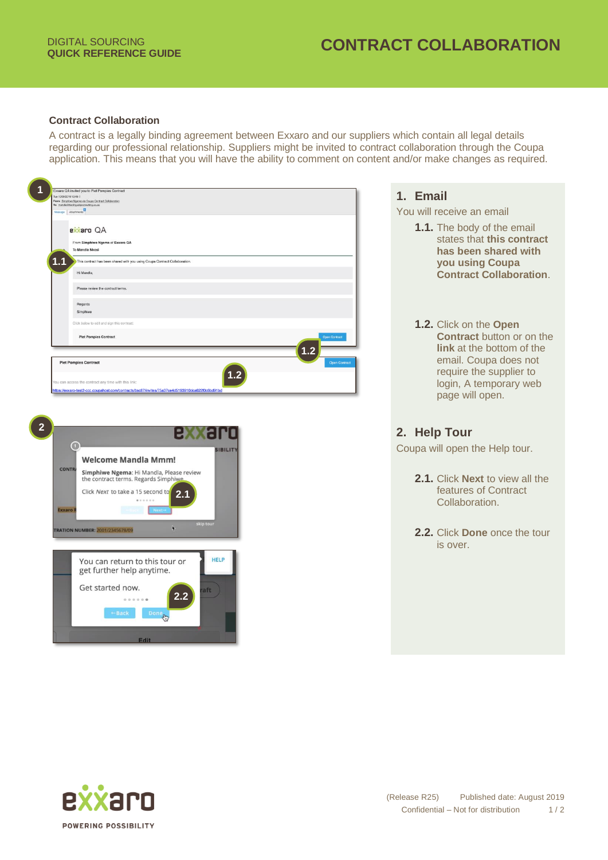## **QUICK REFERENCE GUIDE CONTRACT COLLABORATION**

## **Contract Collaboration**

A contract is a legally binding agreement between Exxaro and our suppliers which contain all legal details regarding our professional relationship. Suppliers might be invited to contract collaboration through the Coupa application. This means that you will have the ability to comment on content and/or make changes as required.

| Exxaro QA invited you to Piet Pompies Contract<br>Tue 10/09/2019 13:48 (<br>From: Simphiwe Ngema via Coups Contract Collaboration<br>To: mandia@testing.s2pconsulting.co.za<br>Message Attachments                                                                                                                                | 1. Email<br>You will receive an email                                                                                                                                                    |
|-----------------------------------------------------------------------------------------------------------------------------------------------------------------------------------------------------------------------------------------------------------------------------------------------------------------------------------|------------------------------------------------------------------------------------------------------------------------------------------------------------------------------------------|
| exxaro QA<br>From Simphiwe Ngema of Exxaro QA<br>To Mandla Nkosi<br>1.1<br>This contract has been shared with you using Coupa Contract Collaboration<br>Hi Mandla,<br>Please review the contract terms<br>Regards                                                                                                                 | 1.1. The body of the email<br>states that this contract<br>has been shared with<br>you using Coupa<br><b>Contract Collaboration.</b>                                                     |
| Simphiwe<br>Click below to edit and sign this contract:<br><b>Piet Pompies Contract</b><br>Open Contract<br>1.2<br><b>Piet Pompies Contract</b><br><b>Open Contrac</b><br>fou can access the contract any time with this link:<br>https://exxaro-test2-ccc.coupahost.com/contracts/bsc87/invites/75a37ce4d5193910dca622f0c6bd91bd | 1.2. Click on the Open<br><b>Contract</b> button or on the<br>link at the bottom of the<br>email. Coupa does not<br>require the supplier to<br>login, A temporary web<br>page will open. |
| $\overline{2}$                                                                                                                                                                                                                                                                                                                    | 2. Help Tour                                                                                                                                                                             |
| ۵<br><b>SIBILIT</b><br><b>Welcome Mandla Mmm!</b>                                                                                                                                                                                                                                                                                 | Coupa will open the Help tour.                                                                                                                                                           |
| <b>CONTRA</b><br>Simphiwe Ngema: Hi Mandla, Please review<br>the contract terms. Regards Simphiwe<br>Click Next to take a 15 second to<br>2.1<br><b>Exxaro</b>                                                                                                                                                                    | 2.1. Click Next to view all the<br>features of Contract<br>Collaboration.                                                                                                                |
| skip tour<br><b>TRATION NUMBER: 2001/2345678/09</b>                                                                                                                                                                                                                                                                               | 2.2. Click Done once the tour<br>is over.                                                                                                                                                |
| <b>HELP</b><br>You can return to this tour or<br>get further help anytime.<br>Get started now.<br>aft                                                                                                                                                                                                                             |                                                                                                                                                                                          |